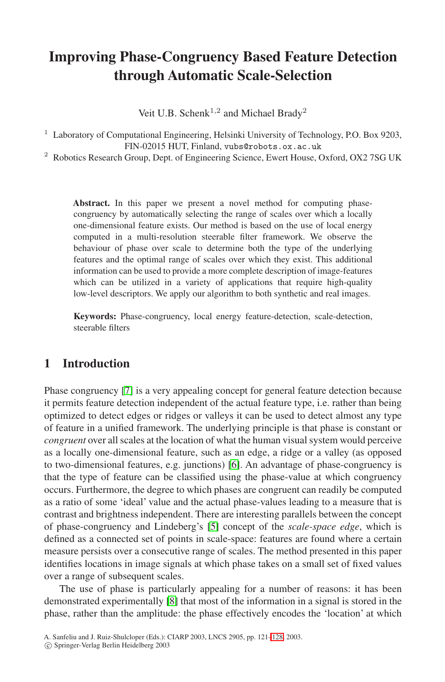# **Improving Phase-Congruency Based Feature Detection through Automatic Scale-Selection**

Veit U.B. Schenk<sup>1,2</sup> and Michael Brady<sup>2</sup>

<sup>1</sup> Laboratory of Computational Engineering, Helsinki University of Technology, P.O. Box 9203, FIN-02015 HUT, Finland, vubs@robots.ox.ac.uk

<sup>2</sup> Robotics Research Group, Dept. of Engineering Science, Ewert House, Oxford, OX2 7SG UK

**Abstract.** In this paper we present a novel method for computing phasecongruency by automatically selecting the range of scales over which a locally one-dimensional feature exists. Our method is based on the use of local energy computed in a multi-resolution steerable filter framework. We observe the behaviour of phase over scale to determine both the type of the underlying features and the optimal range of scales over which they exist. This additional information can be used to provide a more complete description of image-features which can be utilized in a variety of applications that require high-quality low-level descriptors. We apply our algorithm to both synthetic and real images.

**Keywords:** Phase-congruency, local energy feature-detection, scale-detection, steerable filters

### **1 Introduction**

Phase congruency [\[7\]](#page-7-0) is a very appealing concept for general feature detection because it permits feature detection independent of the actual feature type, i.e. rather than being optimized to detect edges or ridges or valleys it can be used to detect almost any type of feature in a unified framework. The underlying principle is that phase is constant or *congruent* over all scales at the location of what the human visual system would perceive as a locally one-dimensional feature, such as an edge, a ridge or a valley (as opposed to two-dimensional features, e.g. junctions) [\[6\]](#page-7-0). An advantage of phase-congruency is that the type of feature can be classified using the phase-value at which congruency occurs. Furthermore, the degree to which phases are congruent can readily be computed as a ratio of some 'ideal' value and the actual phase-values leading to a measure that is contrast and brightness independent. There are interesting parallels between the concept of phase-congruency and Lindeberg's [\[5\]](#page-7-0) concept of the *scale-space edge*, which is defined as a connected set of points in scale-space: features are found where a certain measure persists over a consecutive range of scales. The method presented in this paper identifies locations in image signals at which phase takes on a small set of fixed values over a range of subsequent scales.

The use of phase is particularly appealing for a number of reasons: it has been demonstrated experimentally [\[8\]](#page-7-0) that most of the information in a signal is stored in the phase, rather than the amplitude: the phase effectively encodes the 'location' at which

c Springer-Verlag Berlin Heidelberg 2003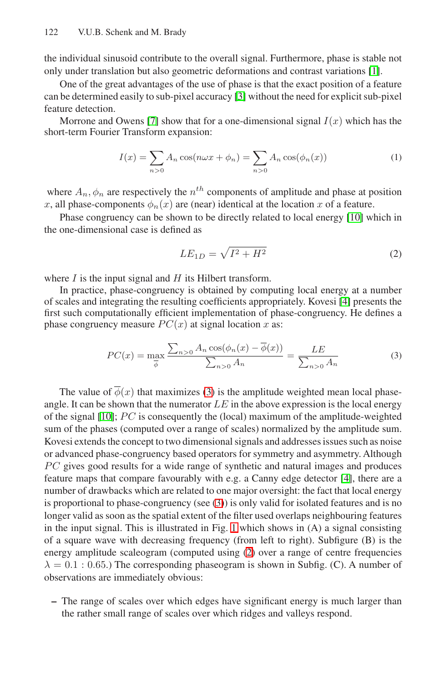<span id="page-1-0"></span>the individual sinusoid contribute to the overall signal. Furthermore, phase is stable not only under translation but also geometric deformations and contrast variations [\[1\]](#page-7-0).

One of the great advantages of the use of phase is that the exact position of a feature can be determined easily to sub-pixel accuracy [\[3\]](#page-7-0) without the need for explicit sub-pixel feature detection.

Morrone and Owens [\[7\]](#page-7-0) show that for a one-dimensional signal  $I(x)$  which has the short-term Fourier Transform expansion:

$$
I(x) = \sum_{n>0} A_n \cos(n\omega x + \phi_n) = \sum_{n>0} A_n \cos(\phi_n(x))
$$
 (1)

where  $A_n$ ,  $\phi_n$  are respectively the  $n^{th}$  components of amplitude and phase at position x, all phase-components  $\phi_n(x)$  are (near) identical at the location x of a feature.

Phase congruency can be shown to be directly related to local energy [\[10\]](#page-7-0) which in the one-dimensional case is defined as

$$
LE_{1D} = \sqrt{I^2 + H^2} \tag{2}
$$

where  $I$  is the input signal and  $H$  its Hilbert transform.

In practice, phase-congruency is obtained by computing local energy at a number of scales and integrating the resulting coefficients appropriately. Kovesi [\[4\]](#page-7-0) presents the first such computationally efficient implementation of phase-congruency. He defines a phase congruency measure  $PC(x)$  at signal location x as:

$$
PC(x) = \max_{\overline{\phi}} \frac{\sum_{n>0} A_n \cos(\phi_n(x) - \overline{\phi}(x))}{\sum_{n>0} A_n} = \frac{LE}{\sum_{n>0} A_n}
$$
(3)

The value of  $\phi(x)$  that maximizes (3) is the amplitude weighted mean local phaseangle. It can be shown that the numerator  $LE$  in the above expression is the local energy of the signal  $[10]$ ;  $\overline{PC}$  is consequently the (local) maximum of the amplitude-weighted sum of the phases (computed over a range of scales) normalized by the amplitude sum. Kovesi extends the concept to two dimensional signals and addresses issues such as noise or advanced phase-congruency based operators for symmetry and asymmetry. Although PC gives good results for a wide range of synthetic and natural images and produces feature maps that compare favourably with e.g. a Canny edge detector [\[4\]](#page-7-0), there are a number of drawbacks which are related to one major oversight: the fact that local energy is proportional to phase-congruency (see (3)) is only valid for isolated features and is no longer valid as soon as the spatial extent of the filter used overlaps neighbouring features in the input signal. This is illustrated in Fig. [1](#page-2-0) which shows in (A) a signal consisting of a square wave with decreasing frequency (from left to right). Subfigure (B) is the energy amplitude scaleogram (computed using (2) over a range of centre frequencies  $\lambda = 0.1:0.65$ .) The corresponding phaseogram is shown in Subfig. (C). A number of observations are immediately obvious:

**–** The range of scales over which edges have significant energy is much larger than the rather small range of scales over which ridges and valleys respond.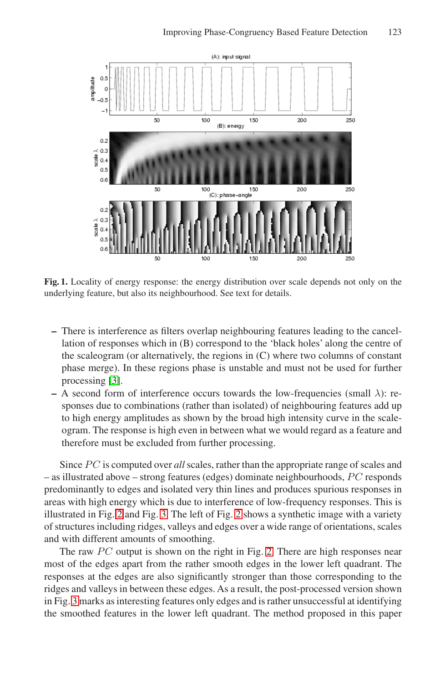<span id="page-2-0"></span>

**Fig. 1.** Locality of energy response: the energy distribution over scale depends not only on the underlying feature, but also its neighbourhood. See text for details.

- **–** There is interference as filters overlap neighbouring features leading to the cancellation of responses which in (B) correspond to the 'black holes' along the centre of the scaleogram (or alternatively, the regions in (C) where two columns of constant phase merge). In these regions phase is unstable and must not be used for further processing [\[3\]](#page-7-0).
- **–** A second form of interference occurs towards the low-frequencies (small  $\lambda$ ): responses due to combinations (rather than isolated) of neighbouring features add up to high energy amplitudes as shown by the broad high intensity curve in the scaleogram. The response is high even in between what we would regard as a feature and therefore must be excluded from further processing.

Since PC is computed over *all* scales, rather than the appropriate range of scales and – as illustrated above – strong features (edges) dominate neighbourhoods,  $\overline{PC}$  responds predominantly to edges and isolated very thin lines and produces spurious responses in areas with high energy which is due to interference of low-frequency responses. This is illustrated in Fig. [2](#page-3-0) and Fig. [3.](#page-4-0) The left of Fig. [2](#page-3-0) shows a synthetic image with a variety of structures including ridges, valleys and edges over a wide range of orientations, scales and with different amounts of smoothing.

The raw  $PC$  output is shown on the right in Fig. [2.](#page-3-0) There are high responses near most of the edges apart from the rather smooth edges in the lower left quadrant. The responses at the edges are also significantly stronger than those corresponding to the ridges and valleys in between these edges. As a result, the post-processed version shown in Fig. [3](#page-4-0) marks as interesting features only edges and is rather unsuccessful at identifying the smoothed features in the lower left quadrant. The method proposed in this paper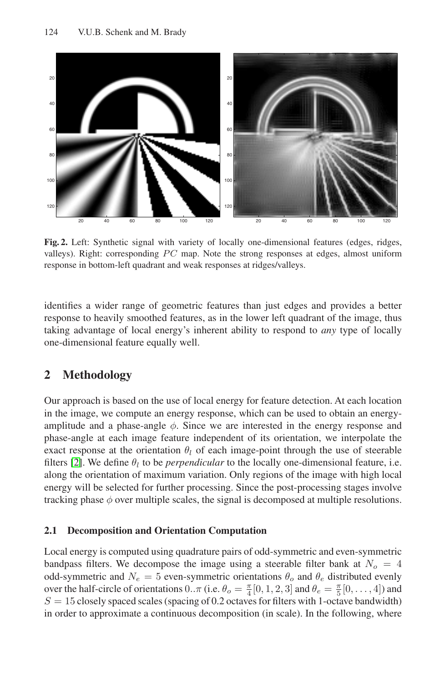<span id="page-3-0"></span>

**Fig. 2.** Left: Synthetic signal with variety of locally one-dimensional features (edges, ridges, valleys). Right: corresponding  $PC$  map. Note the strong responses at edges, almost uniform response in bottom-left quadrant and weak responses at ridges/valleys.

identifies a wider range of geometric features than just edges and provides a better response to heavily smoothed features, as in the lower left quadrant of the image, thus taking advantage of local energy's inherent ability to respond to *any* type of locally one-dimensional feature equally well.

## **2 Methodology**

Our approach is based on the use of local energy for feature detection. At each location in the image, we compute an energy response, which can be used to obtain an energyamplitude and a phase-angle  $\phi$ . Since we are interested in the energy response and phase-angle at each image feature independent of its orientation, we interpolate the exact response at the orientation  $\theta_l$  of each image-point through the use of steerable filters [\[2\]](#page-7-0). We define  $\theta_l$  to be *perpendicular* to the locally one-dimensional feature, i.e. along the orientation of maximum variation. Only regions of the image with high local energy will be selected for further processing. Since the post-processing stages involve tracking phase  $\phi$  over multiple scales, the signal is decomposed at multiple resolutions.

### **2.1 Decomposition and Orientation Computation**

Local energy is computed using quadrature pairs of odd-symmetric and even-symmetric bandpass filters. We decompose the image using a steerable filter bank at  $N<sub>o</sub> = 4$ odd-symmetric and  $N_e = 5$  even-symmetric orientations  $\theta_o$  and  $\theta_e$  distributed evenly over the half-circle of orientations  $0.\pi$  (i.e.  $\theta_o = \frac{\pi}{4}[0, 1, 2, 3]$  and  $\theta_e = \frac{\pi}{5}[0, \dots, 4]$ ) and  $S = 15$  closely spaced scales (spacing of 0.2 octaves for filters with 1-octave bandwidth) in order to approximate a continuous decomposition (in scale). In the following, where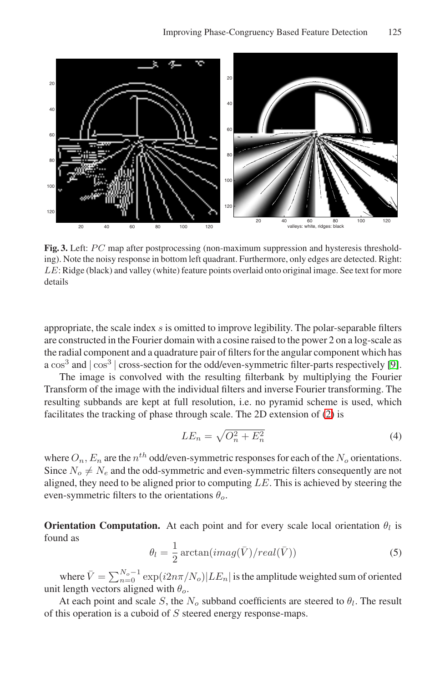<span id="page-4-0"></span>

**Fig. 3.** Left: PC map after postprocessing (non-maximum suppression and hysteresis thresholding). Note the noisy response in bottom left quadrant. Furthermore, only edges are detected. Right: LE: Ridge (black) and valley (white) feature points overlaid onto original image. See text for more details

appropriate, the scale index  $s$  is omitted to improve legibility. The polar-separable filters are constructed in the Fourier domain with a cosine raised to the power 2 on a log-scale as the radial component and a quadrature pair of filters for the angular component which has a  $\cos^3$  and  $|\cos^3|$  cross-section for the odd/even-symmetric filter-parts respectively [\[9\]](#page-7-0).

The image is convolved with the resulting filterbank by multiplying the Fourier Transform of the image with the individual filters and inverse Fourier transforming. The resulting subbands are kept at full resolution, i.e. no pyramid scheme is used, which facilitates the tracking of phase through scale. The 2D extension of [\(2\)](#page-1-0) is

$$
LE_n = \sqrt{O_n^2 + E_n^2} \tag{4}
$$

where  $O_n$ ,  $E_n$  are the  $n^{th}$  odd/even-symmetric responses for each of the  $N_o$  orientations. Since  $N_o \neq N_e$  and the odd-symmetric and even-symmetric filters consequently are not aligned, they need to be aligned prior to computing  $LE$ . This is achieved by steering the even-symmetric filters to the orientations  $\theta_o$ .

**Orientation Computation.** At each point and for every scale local orientation  $\theta_l$  is found as

$$
\theta_l = \frac{1}{2} \arctan(imag(\bar{V})/real(\bar{V}))
$$
\n(5)

where  $\bar{V} = \sum_{n=0}^{N_o - 1} \exp(i2n\pi/N_o)|LE_n|$  is the amplitude weighted sum of oriented unit length vectors aligned with  $\theta_o$ .

At each point and scale S, the  $N<sub>o</sub>$  subband coefficients are steered to  $\theta<sub>l</sub>$ . The result of this operation is a cuboid of S steered energy response-maps.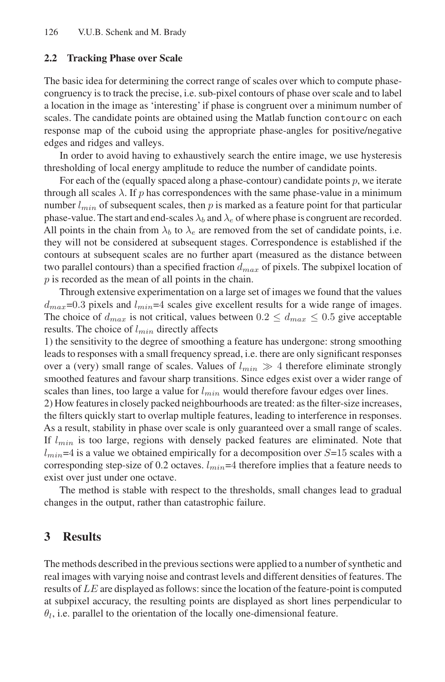#### **2.2 Tracking Phase over Scale**

The basic idea for determining the correct range of scales over which to compute phasecongruency is to track the precise, i.e. sub-pixel contours of phase over scale and to label a location in the image as 'interesting' if phase is congruent over a minimum number of scales. The candidate points are obtained using the Matlab function contourc on each response map of the cuboid using the appropriate phase-angles for positive/negative edges and ridges and valleys.

In order to avoid having to exhaustively search the entire image, we use hysteresis thresholding of local energy amplitude to reduce the number of candidate points.

For each of the (equally spaced along a phase-contour) candidate points p, we iterate through all scales  $\lambda$ . If p has correspondences with the same phase-value in a minimum number  $l_{min}$  of subsequent scales, then p is marked as a feature point for that particular phase-value. The start and end-scales  $\lambda_b$  and  $\lambda_e$  of where phase is congruent are recorded. All points in the chain from  $\lambda_b$  to  $\lambda_e$  are removed from the set of candidate points, i.e. they will not be considered at subsequent stages. Correspondence is established if the contours at subsequent scales are no further apart (measured as the distance between two parallel contours) than a specified fraction  $d_{max}$  of pixels. The subpixel location of  $p$  is recorded as the mean of all points in the chain.

Through extensive experimentation on a large set of images we found that the values  $d_{max}=0.3$  pixels and  $l_{min}=4$  scales give excellent results for a wide range of images. The choice of  $d_{max}$  is not critical, values between  $0.2 \leq d_{max} \leq 0.5$  give acceptable results. The choice of  $l_{min}$  directly affects

1) the sensitivity to the degree of smoothing a feature has undergone: strong smoothing leads to responses with a small frequency spread, i.e. there are only significant responses over a (very) small range of scales. Values of  $l_{min} \gg 4$  therefore eliminate strongly smoothed features and favour sharp transitions. Since edges exist over a wider range of scales than lines, too large a value for  $l_{min}$  would therefore favour edges over lines.

2) How features in closely packed neighbourhoods are treated: as the filter-size increases, the filters quickly start to overlap multiple features, leading to interference in responses. As a result, stability in phase over scale is only guaranteed over a small range of scales. If  $l_{min}$  is too large, regions with densely packed features are eliminated. Note that  $l_{min}=4$  is a value we obtained empirically for a decomposition over  $S=15$  scales with a corresponding step-size of 0.2 octaves.  $l_{min}=4$  therefore implies that a feature needs to exist over just under one octave.

The method is stable with respect to the thresholds, small changes lead to gradual changes in the output, rather than catastrophic failure.

### **3 Results**

The methods described in the previous sections were applied to a number of synthetic and real images with varying noise and contrast levels and different densities of features. The results of LE are displayed as follows: since the location of the feature-point is computed at subpixel accuracy, the resulting points are displayed as short lines perpendicular to  $\theta_l$ , i.e. parallel to the orientation of the locally one-dimensional feature.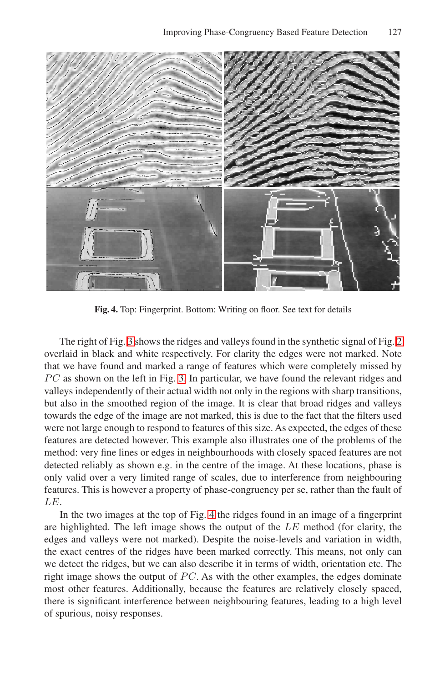<span id="page-6-0"></span>

**Fig. 4.** Top: Fingerprint. Bottom: Writing on floor. See text for details

The right of Fig. [3](#page-4-0) shows the ridges and valleys found in the synthetic signal of Fig. [2](#page-3-0) overlaid in black and white respectively. For clarity the edges were not marked. Note that we have found and marked a range of features which were completely missed by  $PC$  as shown on the left in Fig. [3.](#page-4-0) In particular, we have found the relevant ridges and valleys independently of their actual width not only in the regions with sharp transitions, but also in the smoothed region of the image. It is clear that broad ridges and valleys towards the edge of the image are not marked, this is due to the fact that the filters used were not large enough to respond to features of this size. As expected, the edges of these features are detected however. This example also illustrates one of the problems of the method: very fine lines or edges in neighbourhoods with closely spaced features are not detected reliably as shown e.g. in the centre of the image. At these locations, phase is only valid over a very limited range of scales, due to interference from neighbouring features. This is however a property of phase-congruency per se, rather than the fault of LE.

In the two images at the top of Fig. 4 the ridges found in an image of a fingerprint are highlighted. The left image shows the output of the  $LE$  method (for clarity, the edges and valleys were not marked). Despite the noise-levels and variation in width, the exact centres of the ridges have been marked correctly. This means, not only can we detect the ridges, but we can also describe it in terms of width, orientation etc. The right image shows the output of  $PC$ . As with the other examples, the edges dominate most other features. Additionally, because the features are relatively closely spaced, there is significant interference between neighbouring features, leading to a high level of spurious, noisy responses.